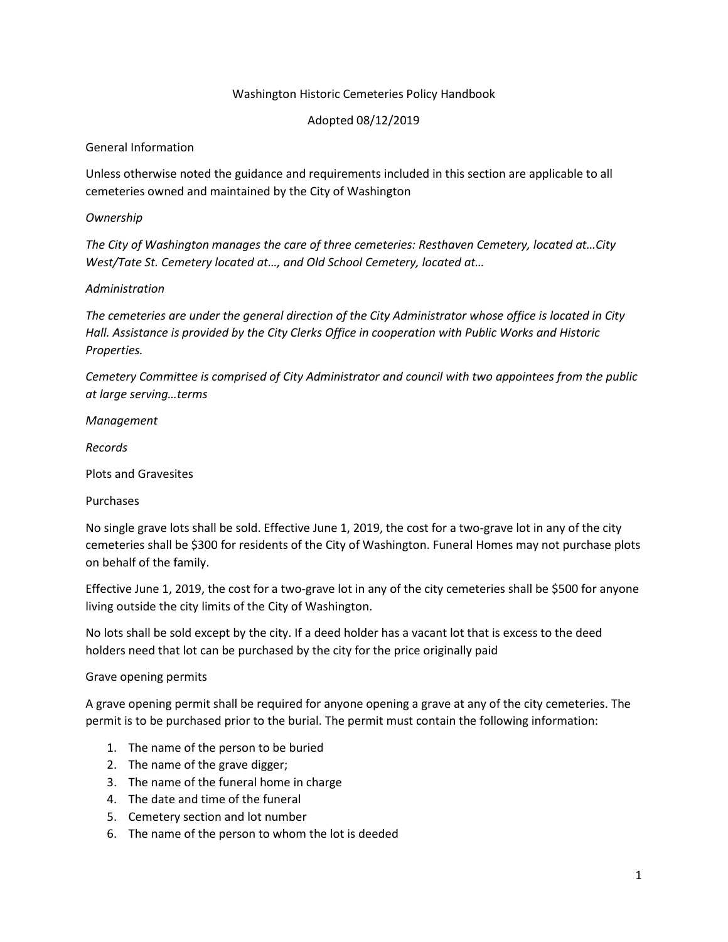### Washington Historic Cemeteries Policy Handbook

### Adopted 08/12/2019

### General Information

Unless otherwise noted the guidance and requirements included in this section are applicable to all cemeteries owned and maintained by the City of Washington

### *Ownership*

*The City of Washington manages the care of three cemeteries: Resthaven Cemetery, located at…City West/Tate St. Cemetery located at…, and Old School Cemetery, located at…*

## *Administration*

*The cemeteries are under the general direction of the City Administrator whose office is located in City Hall. Assistance is provided by the City Clerks Office in cooperation with Public Works and Historic Properties.*

*Cemetery Committee is comprised of City Administrator and council with two appointees from the public at large serving…terms*

*Management*

*Records*

Plots and Gravesites

Purchases

No single grave lots shall be sold. Effective June 1, 2019, the cost for a two-grave lot in any of the city cemeteries shall be \$300 for residents of the City of Washington. Funeral Homes may not purchase plots on behalf of the family.

Effective June 1, 2019, the cost for a two-grave lot in any of the city cemeteries shall be \$500 for anyone living outside the city limits of the City of Washington.

No lots shall be sold except by the city. If a deed holder has a vacant lot that is excess to the deed holders need that lot can be purchased by the city for the price originally paid

### Grave opening permits

A grave opening permit shall be required for anyone opening a grave at any of the city cemeteries. The permit is to be purchased prior to the burial. The permit must contain the following information:

- 1. The name of the person to be buried
- 2. The name of the grave digger;
- 3. The name of the funeral home in charge
- 4. The date and time of the funeral
- 5. Cemetery section and lot number
- 6. The name of the person to whom the lot is deeded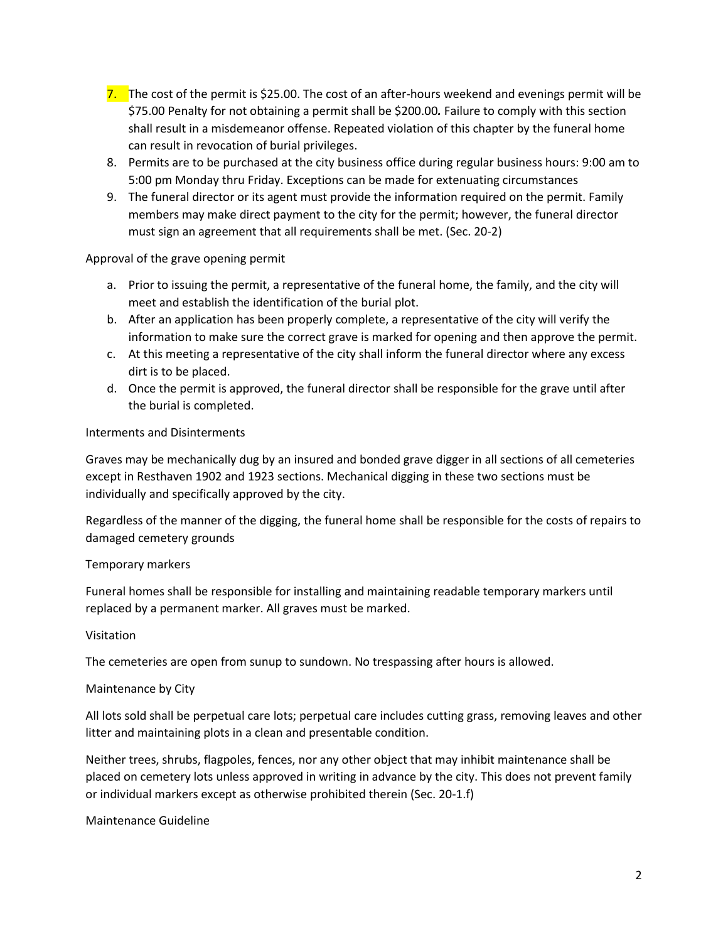- 7. The cost of the permit is \$25.00. The cost of an after-hours weekend and evenings permit will be \$75.00 Penalty for not obtaining a permit shall be \$200.00*.* Failure to comply with this section shall result in a misdemeanor offense. Repeated violation of this chapter by the funeral home can result in revocation of burial privileges.
- 8. Permits are to be purchased at the city business office during regular business hours: 9:00 am to 5:00 pm Monday thru Friday. Exceptions can be made for extenuating circumstances
- 9. The funeral director or its agent must provide the information required on the permit. Family members may make direct payment to the city for the permit; however, the funeral director must sign an agreement that all requirements shall be met. (Sec. 20-2)

### Approval of the grave opening permit

- a. Prior to issuing the permit, a representative of the funeral home, the family, and the city will meet and establish the identification of the burial plot.
- b. After an application has been properly complete, a representative of the city will verify the information to make sure the correct grave is marked for opening and then approve the permit.
- c. At this meeting a representative of the city shall inform the funeral director where any excess dirt is to be placed.
- d. Once the permit is approved, the funeral director shall be responsible for the grave until after the burial is completed.

### Interments and Disinterments

Graves may be mechanically dug by an insured and bonded grave digger in all sections of all cemeteries except in Resthaven 1902 and 1923 sections. Mechanical digging in these two sections must be individually and specifically approved by the city.

Regardless of the manner of the digging, the funeral home shall be responsible for the costs of repairs to damaged cemetery grounds

# Temporary markers

Funeral homes shall be responsible for installing and maintaining readable temporary markers until replaced by a permanent marker. All graves must be marked.

### Visitation

The cemeteries are open from sunup to sundown. No trespassing after hours is allowed.

### Maintenance by City

All lots sold shall be perpetual care lots; perpetual care includes cutting grass, removing leaves and other litter and maintaining plots in a clean and presentable condition.

Neither trees, shrubs, flagpoles, fences, nor any other object that may inhibit maintenance shall be placed on cemetery lots unless approved in writing in advance by the city. This does not prevent family or individual markers except as otherwise prohibited therein (Sec. 20-1.f)

### Maintenance Guideline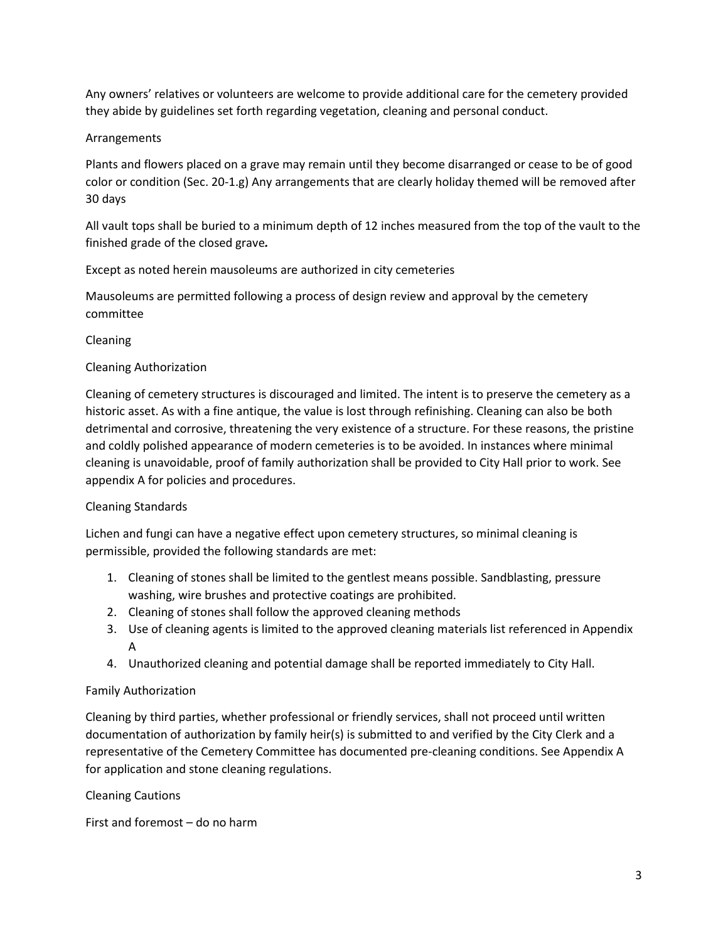Any owners' relatives or volunteers are welcome to provide additional care for the cemetery provided they abide by guidelines set forth regarding vegetation, cleaning and personal conduct.

# Arrangements

Plants and flowers placed on a grave may remain until they become disarranged or cease to be of good color or condition (Sec. 20-1.g) Any arrangements that are clearly holiday themed will be removed after 30 days

All vault tops shall be buried to a minimum depth of 12 inches measured from the top of the vault to the finished grade of the closed grave*.*

Except as noted herein mausoleums are authorized in city cemeteries

Mausoleums are permitted following a process of design review and approval by the cemetery committee

Cleaning

## Cleaning Authorization

Cleaning of cemetery structures is discouraged and limited. The intent is to preserve the cemetery as a historic asset. As with a fine antique, the value is lost through refinishing. Cleaning can also be both detrimental and corrosive, threatening the very existence of a structure. For these reasons, the pristine and coldly polished appearance of modern cemeteries is to be avoided. In instances where minimal cleaning is unavoidable, proof of family authorization shall be provided to City Hall prior to work. See appendix A for policies and procedures.

# Cleaning Standards

Lichen and fungi can have a negative effect upon cemetery structures, so minimal cleaning is permissible, provided the following standards are met:

- 1. Cleaning of stones shall be limited to the gentlest means possible. Sandblasting, pressure washing, wire brushes and protective coatings are prohibited.
- 2. Cleaning of stones shall follow the approved cleaning methods
- 3. Use of cleaning agents is limited to the approved cleaning materials list referenced in Appendix A
- 4. Unauthorized cleaning and potential damage shall be reported immediately to City Hall.

### Family Authorization

Cleaning by third parties, whether professional or friendly services, shall not proceed until written documentation of authorization by family heir(s) is submitted to and verified by the City Clerk and a representative of the Cemetery Committee has documented pre-cleaning conditions. See Appendix A for application and stone cleaning regulations.

Cleaning Cautions

First and foremost – do no harm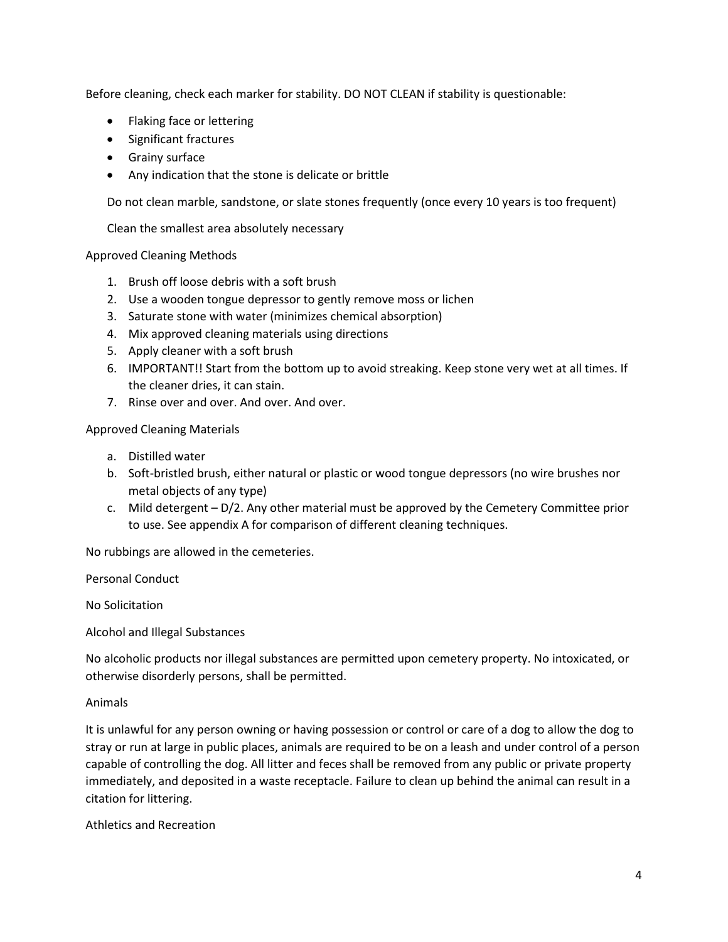Before cleaning, check each marker for stability. DO NOT CLEAN if stability is questionable:

- Flaking face or lettering
- Significant fractures
- Grainy surface
- Any indication that the stone is delicate or brittle

Do not clean marble, sandstone, or slate stones frequently (once every 10 years is too frequent)

Clean the smallest area absolutely necessary

Approved Cleaning Methods

- 1. Brush off loose debris with a soft brush
- 2. Use a wooden tongue depressor to gently remove moss or lichen
- 3. Saturate stone with water (minimizes chemical absorption)
- 4. Mix approved cleaning materials using directions
- 5. Apply cleaner with a soft brush
- 6. IMPORTANT!! Start from the bottom up to avoid streaking. Keep stone very wet at all times. If the cleaner dries, it can stain.
- 7. Rinse over and over. And over. And over.

Approved Cleaning Materials

- a. Distilled water
- b. Soft-bristled brush, either natural or plastic or wood tongue depressors (no wire brushes nor metal objects of any type)
- c. Mild detergent D/2. Any other material must be approved by the Cemetery Committee prior to use. See appendix A for comparison of different cleaning techniques.

No rubbings are allowed in the cemeteries.

Personal Conduct

No Solicitation

Alcohol and Illegal Substances

No alcoholic products nor illegal substances are permitted upon cemetery property. No intoxicated, or otherwise disorderly persons, shall be permitted.

Animals

It is unlawful for any person owning or having possession or control or care of a dog to allow the dog to stray or run at large in public places, animals are required to be on a leash and under control of a person capable of controlling the dog. All litter and feces shall be removed from any public or private property immediately, and deposited in a waste receptacle. Failure to clean up behind the animal can result in a citation for littering.

Athletics and Recreation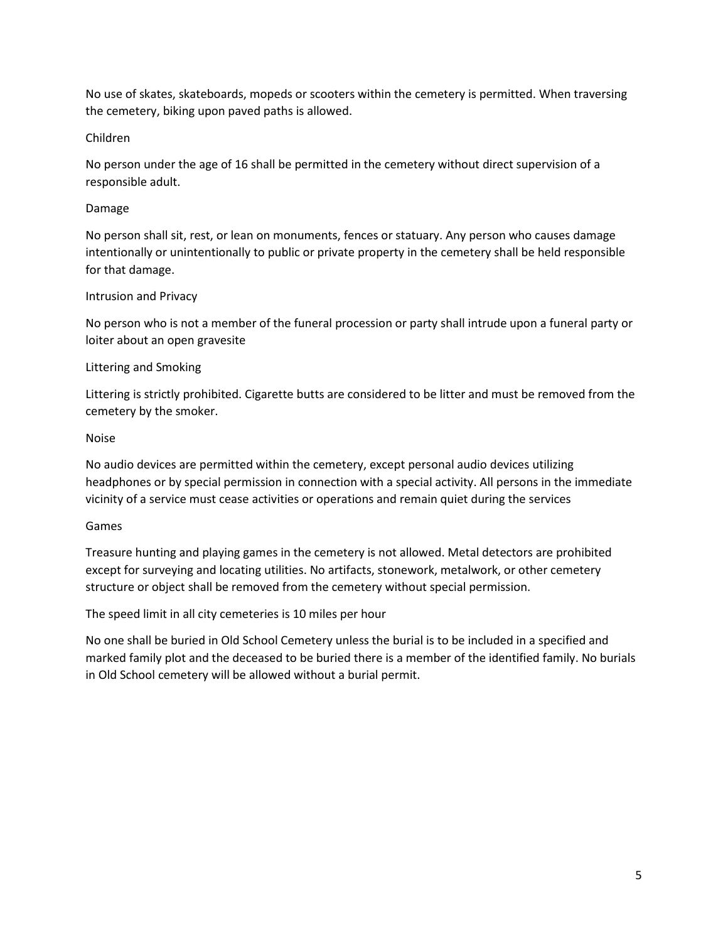No use of skates, skateboards, mopeds or scooters within the cemetery is permitted. When traversing the cemetery, biking upon paved paths is allowed.

## Children

No person under the age of 16 shall be permitted in the cemetery without direct supervision of a responsible adult.

## Damage

No person shall sit, rest, or lean on monuments, fences or statuary. Any person who causes damage intentionally or unintentionally to public or private property in the cemetery shall be held responsible for that damage.

## Intrusion and Privacy

No person who is not a member of the funeral procession or party shall intrude upon a funeral party or loiter about an open gravesite

## Littering and Smoking

Littering is strictly prohibited. Cigarette butts are considered to be litter and must be removed from the cemetery by the smoker.

## Noise

No audio devices are permitted within the cemetery, except personal audio devices utilizing headphones or by special permission in connection with a special activity. All persons in the immediate vicinity of a service must cease activities or operations and remain quiet during the services

### Games

Treasure hunting and playing games in the cemetery is not allowed. Metal detectors are prohibited except for surveying and locating utilities. No artifacts, stonework, metalwork, or other cemetery structure or object shall be removed from the cemetery without special permission.

The speed limit in all city cemeteries is 10 miles per hour

No one shall be buried in Old School Cemetery unless the burial is to be included in a specified and marked family plot and the deceased to be buried there is a member of the identified family. No burials in Old School cemetery will be allowed without a burial permit.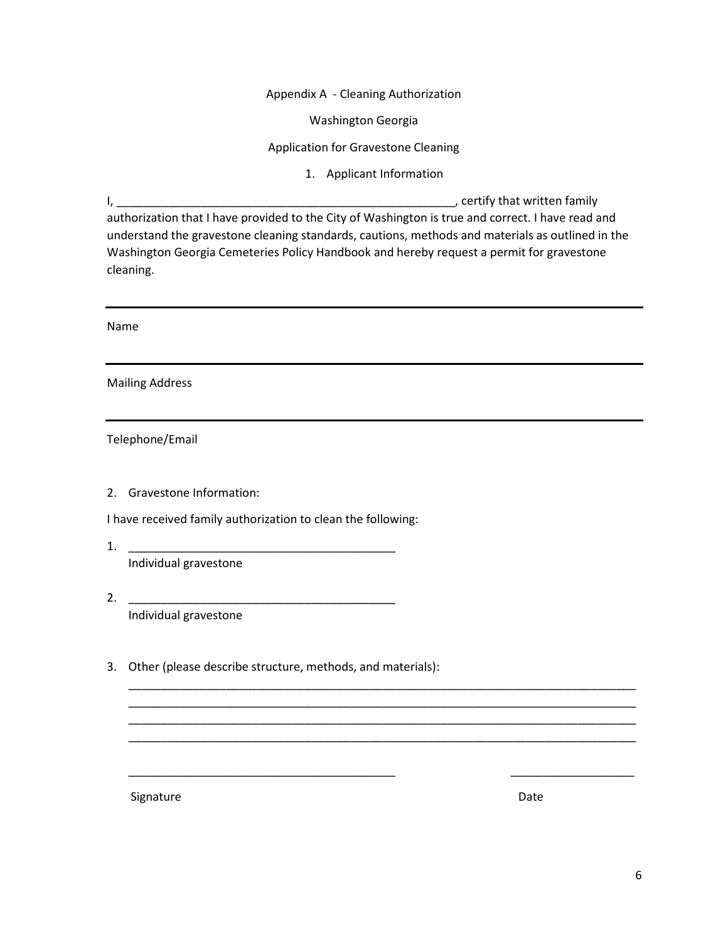Appendix A - Cleaning Authorization

Washington Georgia

Application for Gravestone Cleaning

1. Applicant Information

I, \_\_\_\_\_\_\_\_\_\_\_\_\_\_\_\_\_\_\_\_\_\_\_\_\_\_\_\_\_\_\_\_\_\_\_\_\_\_\_\_\_\_\_\_\_\_\_\_\_\_\_\_, certify that written family

authorization that I have provided to the City of Washington is true and correct. I have read and understand the gravestone cleaning standards, cautions, methods and materials as outlined in the Washington Georgia Cemeteries Policy Handbook and hereby request a permit for gravestone cleaning.

\_\_\_\_\_\_\_\_\_\_\_\_\_\_\_\_\_\_\_\_\_\_\_\_\_\_\_\_\_\_\_\_\_\_\_\_\_\_\_\_\_\_\_\_\_\_\_\_\_\_\_\_\_\_\_\_\_\_\_\_\_\_\_\_\_\_\_\_\_\_\_\_\_\_\_\_\_\_ \_\_\_\_\_\_\_\_\_\_\_\_\_\_\_\_\_\_\_\_\_\_\_\_\_\_\_\_\_\_\_\_\_\_\_\_\_\_\_\_\_\_\_\_\_\_\_\_\_\_\_\_\_\_\_\_\_\_\_\_\_\_\_\_\_\_\_\_\_\_\_\_\_\_\_\_\_\_ \_\_\_\_\_\_\_\_\_\_\_\_\_\_\_\_\_\_\_\_\_\_\_\_\_\_\_\_\_\_\_\_\_\_\_\_\_\_\_\_\_\_\_\_\_\_\_\_\_\_\_\_\_\_\_\_\_\_\_\_\_\_\_\_\_\_\_\_\_\_\_\_\_\_\_\_\_\_ \_\_\_\_\_\_\_\_\_\_\_\_\_\_\_\_\_\_\_\_\_\_\_\_\_\_\_\_\_\_\_\_\_\_\_\_\_\_\_\_\_\_\_\_\_\_\_\_\_\_\_\_\_\_\_\_\_\_\_\_\_\_\_\_\_\_\_\_\_\_\_\_\_\_\_\_\_\_

\_\_\_\_\_\_\_\_\_\_\_\_\_\_\_\_\_\_\_\_\_\_\_\_\_\_\_\_\_\_\_\_\_\_\_\_\_\_\_\_\_ \_\_\_\_\_\_\_\_\_\_\_\_\_\_\_\_\_\_\_

Name

Mailing Address

Telephone/Email

2. Gravestone Information:

I have received family authorization to clean the following:

1. \_\_\_\_\_\_\_\_\_\_\_\_\_\_\_\_\_\_\_\_\_\_\_\_\_\_\_\_\_\_\_\_\_\_\_\_\_\_\_\_\_

Individual gravestone

- 2. \_\_\_\_\_\_\_\_\_\_\_\_\_\_\_\_\_\_\_\_\_\_\_\_\_\_\_\_\_\_\_\_\_\_\_\_\_\_\_\_\_ Individual gravestone
- 3. Other (please describe structure, methods, and materials):

Signature Date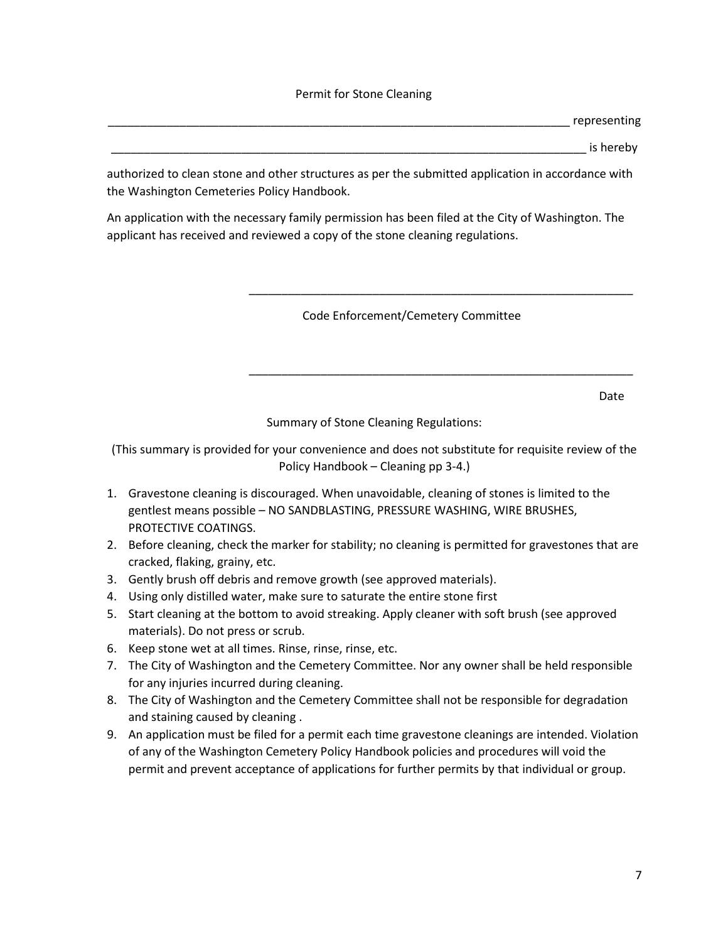#### Permit for Stone Cleaning

\_\_\_\_\_\_\_\_\_\_\_\_\_\_\_\_\_\_\_\_\_\_\_\_\_\_\_\_\_\_\_\_\_\_\_\_\_\_\_\_\_\_\_\_\_\_\_\_\_\_\_\_\_\_\_\_\_\_\_\_\_\_\_\_\_\_\_\_\_\_\_ representing

\_\_\_\_\_\_\_\_\_\_\_\_\_\_\_\_\_\_\_\_\_\_\_\_\_\_\_\_\_\_\_\_\_\_\_\_\_\_\_\_\_\_\_\_\_\_\_\_\_\_\_\_\_\_\_\_\_\_\_\_\_\_\_\_\_\_\_\_\_\_\_\_\_ is hereby

authorized to clean stone and other structures as per the submitted application in accordance with the Washington Cemeteries Policy Handbook.

An application with the necessary family permission has been filed at the City of Washington. The applicant has received and reviewed a copy of the stone cleaning regulations.

\_\_\_\_\_\_\_\_\_\_\_\_\_\_\_\_\_\_\_\_\_\_\_\_\_\_\_\_\_\_\_\_\_\_\_\_\_\_\_\_\_\_\_\_\_\_\_\_\_\_\_\_\_\_\_\_\_\_\_

Code Enforcement/Cemetery Committee

de de la construction de la construction de la construction de la construction de la construction de la constr

Summary of Stone Cleaning Regulations:

\_\_\_\_\_\_\_\_\_\_\_\_\_\_\_\_\_\_\_\_\_\_\_\_\_\_\_\_\_\_\_\_\_\_\_\_\_\_\_\_\_\_\_\_\_\_\_\_\_\_\_\_\_\_\_\_\_\_\_

(This summary is provided for your convenience and does not substitute for requisite review of the Policy Handbook – Cleaning pp 3-4.)

- 1. Gravestone cleaning is discouraged. When unavoidable, cleaning of stones is limited to the gentlest means possible – NO SANDBLASTING, PRESSURE WASHING, WIRE BRUSHES, PROTECTIVE COATINGS.
- 2. Before cleaning, check the marker for stability; no cleaning is permitted for gravestones that are cracked, flaking, grainy, etc.
- 3. Gently brush off debris and remove growth (see approved materials).
- 4. Using only distilled water, make sure to saturate the entire stone first
- 5. Start cleaning at the bottom to avoid streaking. Apply cleaner with soft brush (see approved materials). Do not press or scrub.
- 6. Keep stone wet at all times. Rinse, rinse, rinse, etc.
- 7. The City of Washington and the Cemetery Committee. Nor any owner shall be held responsible for any injuries incurred during cleaning.
- 8. The City of Washington and the Cemetery Committee shall not be responsible for degradation and staining caused by cleaning .
- 9. An application must be filed for a permit each time gravestone cleanings are intended. Violation of any of the Washington Cemetery Policy Handbook policies and procedures will void the permit and prevent acceptance of applications for further permits by that individual or group.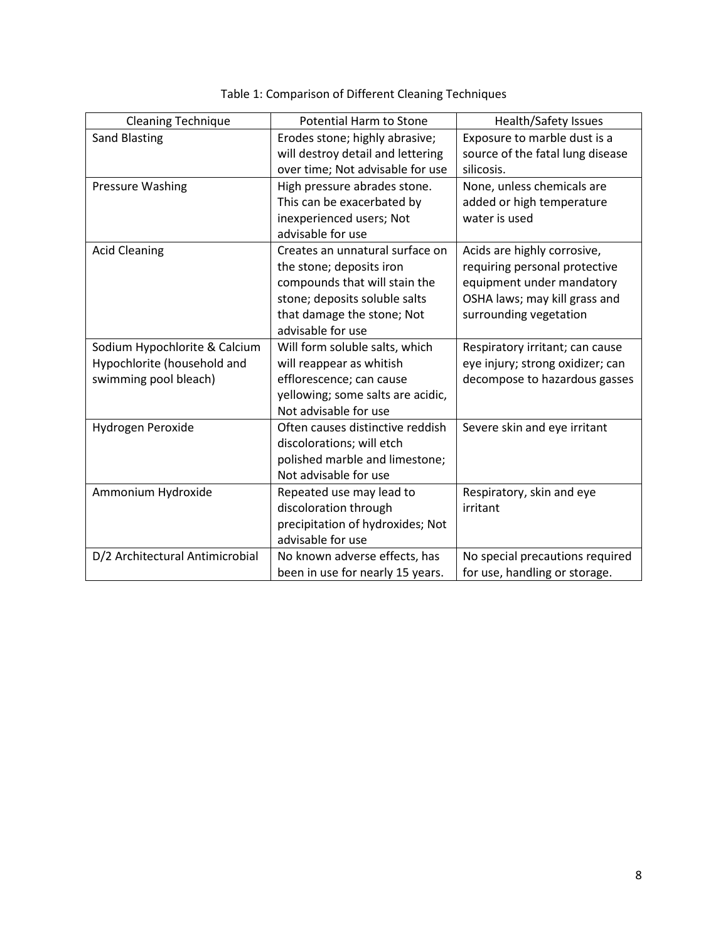| <b>Cleaning Technique</b>       | <b>Potential Harm to Stone</b>    | Health/Safety Issues             |
|---------------------------------|-----------------------------------|----------------------------------|
| <b>Sand Blasting</b>            | Erodes stone; highly abrasive;    | Exposure to marble dust is a     |
|                                 | will destroy detail and lettering | source of the fatal lung disease |
|                                 | over time; Not advisable for use  | silicosis.                       |
| <b>Pressure Washing</b>         | High pressure abrades stone.      | None, unless chemicals are       |
|                                 | This can be exacerbated by        | added or high temperature        |
|                                 | inexperienced users; Not          | water is used                    |
|                                 | advisable for use                 |                                  |
| <b>Acid Cleaning</b>            | Creates an unnatural surface on   | Acids are highly corrosive,      |
|                                 | the stone; deposits iron          | requiring personal protective    |
|                                 | compounds that will stain the     | equipment under mandatory        |
|                                 | stone; deposits soluble salts     | OSHA laws; may kill grass and    |
|                                 | that damage the stone; Not        | surrounding vegetation           |
|                                 | advisable for use                 |                                  |
| Sodium Hypochlorite & Calcium   | Will form soluble salts, which    | Respiratory irritant; can cause  |
| Hypochlorite (household and     | will reappear as whitish          | eye injury; strong oxidizer; can |
| swimming pool bleach)           | efflorescence; can cause          | decompose to hazardous gasses    |
|                                 | yellowing; some salts are acidic, |                                  |
|                                 | Not advisable for use             |                                  |
| Hydrogen Peroxide               | Often causes distinctive reddish  | Severe skin and eye irritant     |
|                                 | discolorations; will etch         |                                  |
|                                 | polished marble and limestone;    |                                  |
|                                 | Not advisable for use             |                                  |
| Ammonium Hydroxide              | Repeated use may lead to          | Respiratory, skin and eye        |
|                                 | discoloration through             | irritant                         |
|                                 | precipitation of hydroxides; Not  |                                  |
|                                 | advisable for use                 |                                  |
| D/2 Architectural Antimicrobial | No known adverse effects, has     | No special precautions required  |
|                                 | been in use for nearly 15 years.  | for use, handling or storage.    |